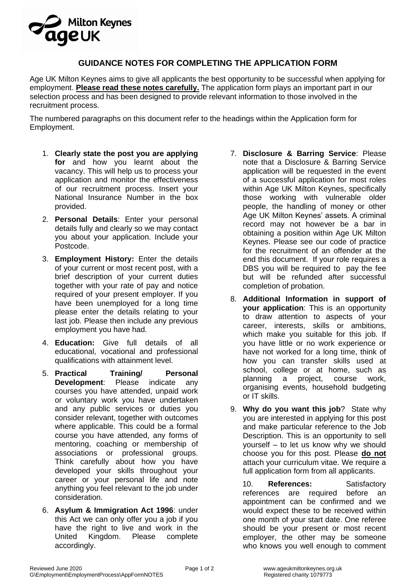# **Milton Keynes** aaeuk

## **GUIDANCE NOTES FOR COMPLETING THE APPLICATION FORM**

Age UK Milton Keynes aims to give all applicants the best opportunity to be successful when applying for employment. **Please read these notes carefully.** The application form plays an important part in our selection process and has been designed to provide relevant information to those involved in the recruitment process.

The numbered paragraphs on this document refer to the headings within the Application form for Employment.

- 1. **Clearly state the post you are applying for** and how you learnt about the vacancy. This will help us to process your application and monitor the effectiveness of our recruitment process. Insert your National Insurance Number in the box provided.
- 2. **Personal Details**: Enter your personal details fully and clearly so we may contact you about your application. Include your Postcode.
- 3. **Employment History:** Enter the details of your current or most recent post, with a brief description of your current duties together with your rate of pay and notice required of your present employer. If you have been unemployed for a long time please enter the details relating to your last job. Please then include any previous employment you have had.
- 4. **Education:** Give full details of all educational, vocational and professional qualifications with attainment level.
- 5. **Practical Training/ Personal Development**: Please indicate any courses you have attended, unpaid work or voluntary work you have undertaken and any public services or duties you consider relevant, together with outcomes where applicable. This could be a formal course you have attended, any forms of mentoring, coaching or membership of associations or professional groups. Think carefully about how you have developed your skills throughout your career or your personal life and note anything you feel relevant to the job under consideration.
- 6. **Asylum & Immigration Act 1996**: under this Act we can only offer you a job if you have the right to live and work in the United Kingdom. Please complete accordingly.
- 7. **Disclosure & Barring Service**: Please note that a Disclosure & Barring Service application will be requested in the event of a successful application for most roles within Age UK Milton Keynes, specifically those working with vulnerable older people, the handling of money or other Age UK Milton Keynes' assets. A criminal record may not however be a bar in obtaining a position within Age UK Milton Keynes. Please see our code of practice for the recruitment of an offender at the end this document. If your role requires a DBS you will be required to pay the fee but will be refunded after successful completion of probation.
- 8. **Additional Information in support of your application**: This is an opportunity to draw attention to aspects of your career, interests, skills or ambitions, which make you suitable for this job. If you have little or no work experience or have not worked for a long time, think of how you can transfer skills used at school, college or at home, such as planning a project, course work, organising events, household budgeting or IT skills.
- 9. **Why do you want this job**? State why you are interested in applying for this post and make particular reference to the Job Description. This is an opportunity to sell yourself – to let us know why we should choose you for this post. Please **do not** attach your curriculum vitae. We require a full application form from all applicants.

10. **References:** Satisfactory references are required before an appointment can be confirmed and we would expect these to be received within one month of your start date. One referee should be your present or most recent employer, the other may be someone who knows you well enough to comment